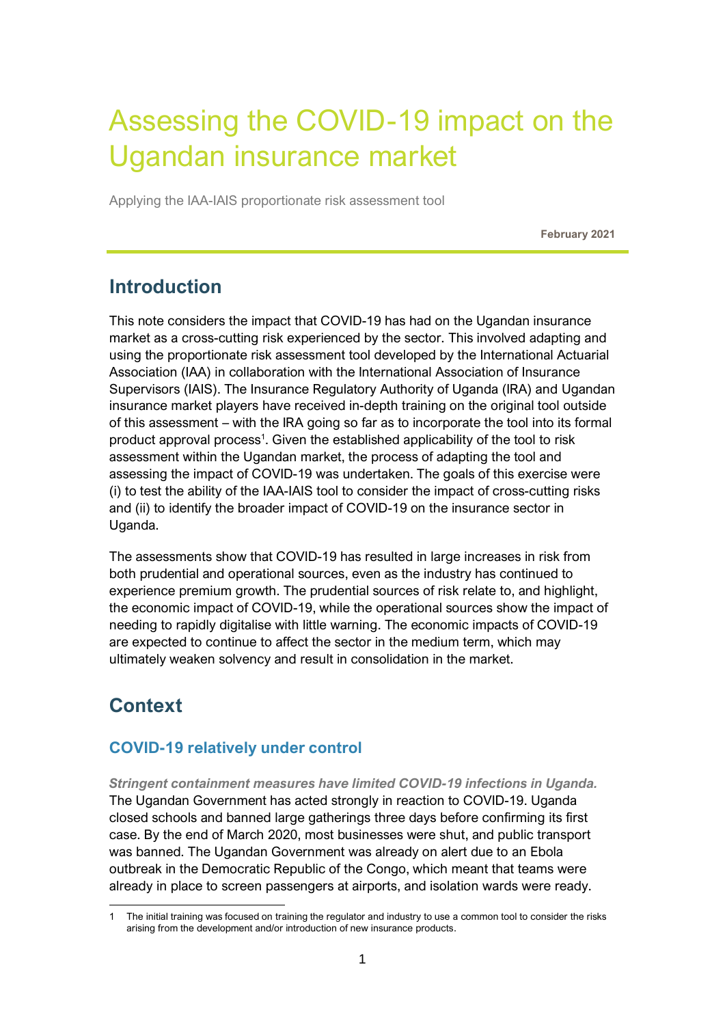# Assessing the COVID-19 impact on the Ugandan insurance market

Applying the IAA-IAIS proportionate risk assessment tool

**February 2021**

# **Introduction**

This note considers the impact that COVID-19 has had on the Ugandan insurance market as a cross-cutting risk experienced by the sector. This involved adapting and using the proportionate risk assessment tool developed by the International Actuarial Association (IAA) in collaboration with the International Association of Insurance Supervisors (IAIS). The Insurance Regulatory Authority of Uganda (IRA) and Ugandan insurance market players have received in-depth training on the original tool outside of this assessment – with the IRA going so far as to incorporate the tool into its formal product approval process<sup>1</sup>. Given the established applicability of the tool to risk assessment within the Ugandan market, the process of adapting the tool and assessing the impact of COVID-19 was undertaken. The goals of this exercise were (i) to test the ability of the IAA-IAIS tool to consider the impact of cross-cutting risks and (ii) to identify the broader impact of COVID-19 on the insurance sector in Uganda.

The assessments show that COVID-19 has resulted in large increases in risk from both prudential and operational sources, even as the industry has continued to experience premium growth. The prudential sources of risk relate to, and highlight, the economic impact of COVID-19, while the operational sources show the impact of needing to rapidly digitalise with little warning. The economic impacts of COVID-19 are expected to continue to affect the sector in the medium term, which may ultimately weaken solvency and result in consolidation in the market.

# **Context**

## **COVID-19 relatively under control**

*Stringent containment measures have limited COVID-19 infections in Uganda.* The Ugandan Government has acted strongly in reaction to COVID-19. Uganda closed schools and banned large gatherings three days before confirming its first case. By the end of March 2020, most businesses were shut, and public transport was banned. The Ugandan Government was already on alert due to an Ebola outbreak in the Democratic Republic of the Congo, which meant that teams were already in place to screen passengers at airports, and isolation wards were ready.

<sup>1</sup> The initial training was focused on training the regulator and industry to use a common tool to consider the risks arising from the development and/or introduction of new insurance products.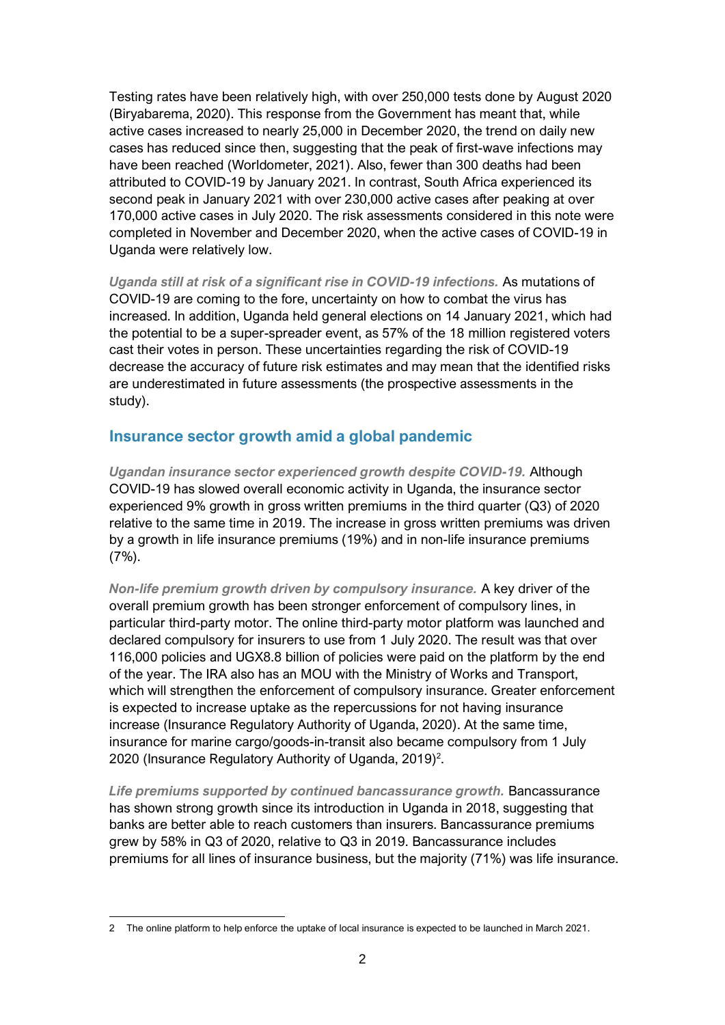Testing rates have been relatively high, with over 250,000 tests done by August 2020 (Biryabarema, 2020). This response from the Government has meant that, while active cases increased to nearly 25,000 in December 2020, the trend on daily new cases has reduced since then, suggesting that the peak of first-wave infections may have been reached (Worldometer, 2021). Also, fewer than 300 deaths had been attributed to COVID-19 by January 2021. In contrast, South Africa experienced its second peak in January 2021 with over 230,000 active cases after peaking at over 170,000 active cases in July 2020. The risk assessments considered in this note were completed in November and December 2020, when the active cases of COVID-19 in Uganda were relatively low.

*Uganda still at risk of a significant rise in COVID-19 infections.* As mutations of COVID-19 are coming to the fore, uncertainty on how to combat the virus has increased. In addition, Uganda held general elections on 14 January 2021, which had the potential to be a super-spreader event, as 57% of the 18 million registered voters cast their votes in person. These uncertainties regarding the risk of COVID-19 decrease the accuracy of future risk estimates and may mean that the identified risks are underestimated in future assessments (the prospective assessments in the study).

### **Insurance sector growth amid a global pandemic**

*Ugandan insurance sector experienced growth despite COVID-19.* Although COVID-19 has slowed overall economic activity in Uganda, the insurance sector experienced 9% growth in gross written premiums in the third quarter (Q3) of 2020 relative to the same time in 2019. The increase in gross written premiums was driven by a growth in life insurance premiums (19%) and in non-life insurance premiums  $(7%)$ .

*Non-life premium growth driven by compulsory insurance.* A key driver of the overall premium growth has been stronger enforcement of compulsory lines, in particular third-party motor. The online third-party motor platform was launched and declared compulsory for insurers to use from 1 July 2020. The result was that over 116,000 policies and UGX8.8 billion of policies were paid on the platform by the end of the year. The IRA also has an MOU with the Ministry of Works and Transport, which will strengthen the enforcement of compulsory insurance. Greater enforcement is expected to increase uptake as the repercussions for not having insurance increase (Insurance Regulatory Authority of Uganda, 2020). At the same time, insurance for marine cargo/goods-in-transit also became compulsory from 1 July 2020 (Insurance Regulatory Authority of Uganda, 2019)<sup>2</sup>.

*Life premiums supported by continued bancassurance growth.* Bancassurance has shown strong growth since its introduction in Uganda in 2018, suggesting that banks are better able to reach customers than insurers. Bancassurance premiums grew by 58% in Q3 of 2020, relative to Q3 in 2019. Bancassurance includes premiums for all lines of insurance business, but the majority (71%) was life insurance.

<sup>2</sup> The online platform to help enforce the uptake of local insurance is expected to be launched in March 2021.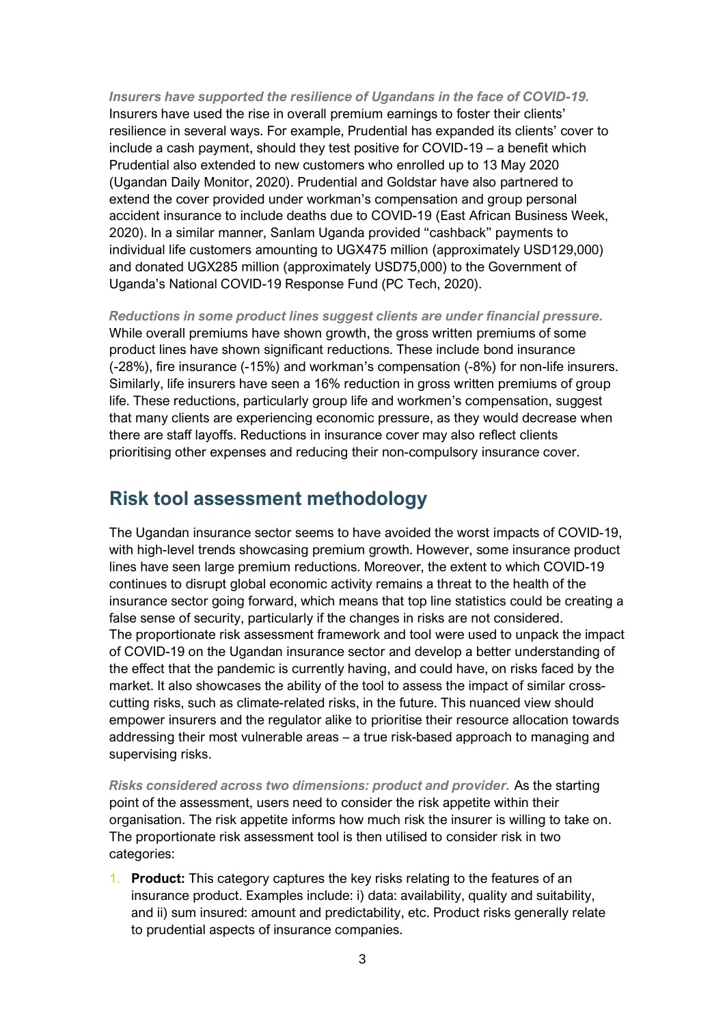*Insurers have supported the resilience of Ugandans in the face of COVID-19.* Insurers have used the rise in overall premium earnings to foster their clients' resilience in several ways. For example, Prudential has expanded its clients' cover to include a cash payment, should they test positive for COVID-19 – a benefit which Prudential also extended to new customers who enrolled up to 13 May 2020 (Ugandan Daily Monitor, 2020). Prudential and Goldstar have also partnered to extend the cover provided under workman's compensation and group personal accident insurance to include deaths due to COVID-19 (East African Business Week, 2020). In a similar manner, Sanlam Uganda provided "cashback" payments to individual life customers amounting to UGX475 million (approximately USD129,000) and donated UGX285 million (approximately USD75,000) to the Government of Uganda's National COVID-19 Response Fund (PC Tech, 2020).

*Reductions in some product lines suggest clients are under financial pressure.*  While overall premiums have shown growth, the gross written premiums of some product lines have shown significant reductions. These include bond insurance (-28%), fire insurance (-15%) and workman's compensation (-8%) for non-life insurers. Similarly, life insurers have seen a 16% reduction in gross written premiums of group life. These reductions, particularly group life and workmen's compensation, suggest that many clients are experiencing economic pressure, as they would decrease when there are staff layoffs. Reductions in insurance cover may also reflect clients prioritising other expenses and reducing their non-compulsory insurance cover.

## **Risk tool assessment methodology**

The Ugandan insurance sector seems to have avoided the worst impacts of COVID-19, with high-level trends showcasing premium growth. However, some insurance product lines have seen large premium reductions. Moreover, the extent to which COVID-19 continues to disrupt global economic activity remains a threat to the health of the insurance sector going forward, which means that top line statistics could be creating a false sense of security, particularly if the changes in risks are not considered. The proportionate risk assessment framework and tool were used to unpack the impact of COVID-19 on the Ugandan insurance sector and develop a better understanding of the effect that the pandemic is currently having, and could have, on risks faced by the market. It also showcases the ability of the tool to assess the impact of similar crosscutting risks, such as climate-related risks, in the future. This nuanced view should empower insurers and the regulator alike to prioritise their resource allocation towards addressing their most vulnerable areas – a true risk-based approach to managing and supervising risks.

*Risks considered across two dimensions: product and provider.* As the starting point of the assessment, users need to consider the risk appetite within their organisation. The risk appetite informs how much risk the insurer is willing to take on. The proportionate risk assessment tool is then utilised to consider risk in two categories:

1. **Product:** This category captures the key risks relating to the features of an insurance product. Examples include: i) data: availability, quality and suitability, and ii) sum insured: amount and predictability, etc. Product risks generally relate to prudential aspects of insurance companies.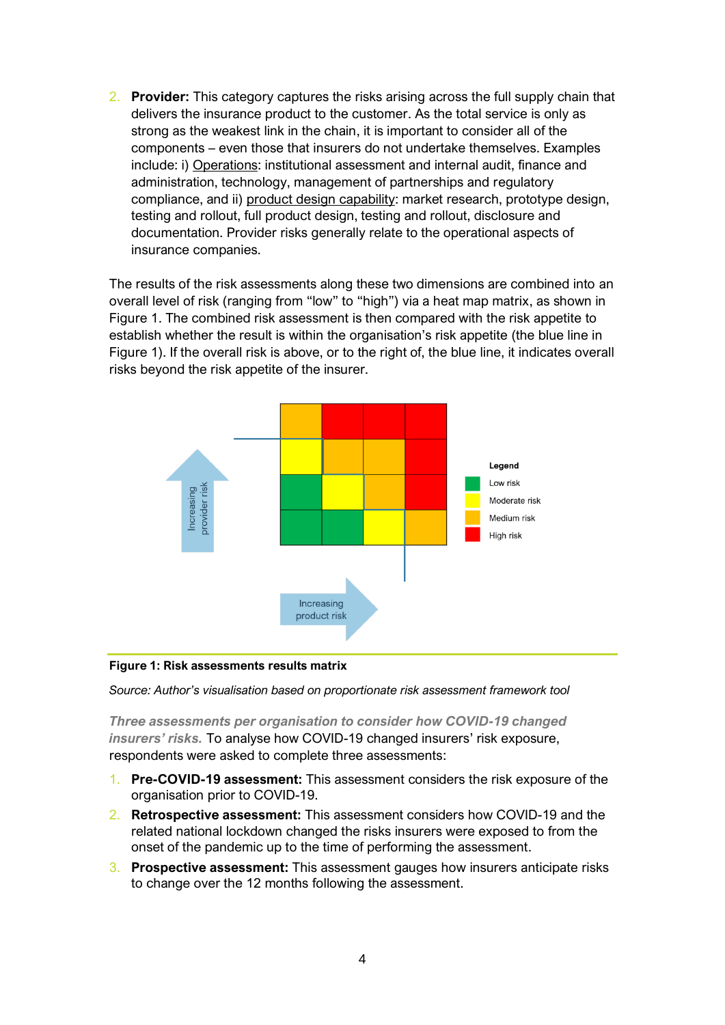2. **Provider:** This category captures the risks arising across the full supply chain that delivers the insurance product to the customer. As the total service is only as strong as the weakest link in the chain, it is important to consider all of the components – even those that insurers do not undertake themselves. Examples include: i) Operations: institutional assessment and internal audit, finance and administration, technology, management of partnerships and regulatory compliance, and ii) product design capability: market research, prototype design, testing and rollout, full product design, testing and rollout, disclosure and documentation. Provider risks generally relate to the operational aspects of insurance companies.

The results of the risk assessments along these two dimensions are combined into an overall level of risk (ranging from "low" to "high") via a heat map matrix, as shown in [Figure 1.](#page-3-0) The combined risk assessment is then compared with the risk appetite to establish whether the result is within the organisation's risk appetite (the blue line in Figure 1). If the overall risk is above, or to the right of, the blue line, it indicates overall risks beyond the risk appetite of the insurer.



#### <span id="page-3-0"></span>**Figure 1: Risk assessments results matrix**

*Source: Author's visualisation based on proportionate risk assessment framework tool*

*Three assessments per organisation to consider how COVID-19 changed insurers' risks.* To analyse how COVID-19 changed insurers' risk exposure, respondents were asked to complete three assessments:

- 1. **Pre-COVID-19 assessment:** This assessment considers the risk exposure of the organisation prior to COVID-19.
- 2. **Retrospective assessment:** This assessment considers how COVID-19 and the related national lockdown changed the risks insurers were exposed to from the onset of the pandemic up to the time of performing the assessment.
- 3. **Prospective assessment:** This assessment gauges how insurers anticipate risks to change over the 12 months following the assessment.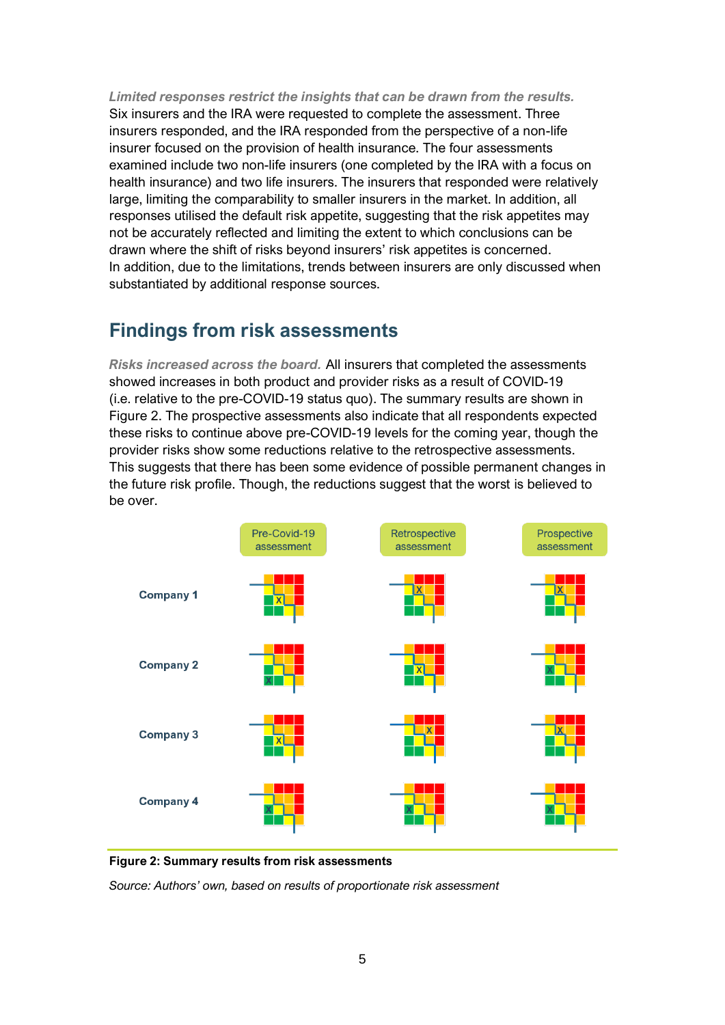*Limited responses restrict the insights that can be drawn from the results.* Six insurers and the IRA were requested to complete the assessment. Three insurers responded, and the IRA responded from the perspective of a non-life insurer focused on the provision of health insurance. The four assessments examined include two non-life insurers (one completed by the IRA with a focus on health insurance) and two life insurers. The insurers that responded were relatively large, limiting the comparability to smaller insurers in the market. In addition, all responses utilised the default risk appetite, suggesting that the risk appetites may not be accurately reflected and limiting the extent to which conclusions can be drawn where the shift of risks beyond insurers' risk appetites is concerned. In addition, due to the limitations, trends between insurers are only discussed when substantiated by additional response sources.

## **Findings from risk assessments**

*Risks increased across the board.* All insurers that completed the assessments showed increases in both product and provider risks as a result of COVID-19 (i.e. relative to the pre-COVID-19 status quo). The summary results are shown in [Figure 2.](#page-4-0) The prospective assessments also indicate that all respondents expected these risks to continue above pre-COVID-19 levels for the coming year, though the provider risks show some reductions relative to the retrospective assessments. This suggests that there has been some evidence of possible permanent changes in the future risk profile. Though, the reductions suggest that the worst is believed to be over.



<span id="page-4-0"></span>**Figure 2: Summary results from risk assessments**

*Source: Authors' own, based on results of proportionate risk assessment*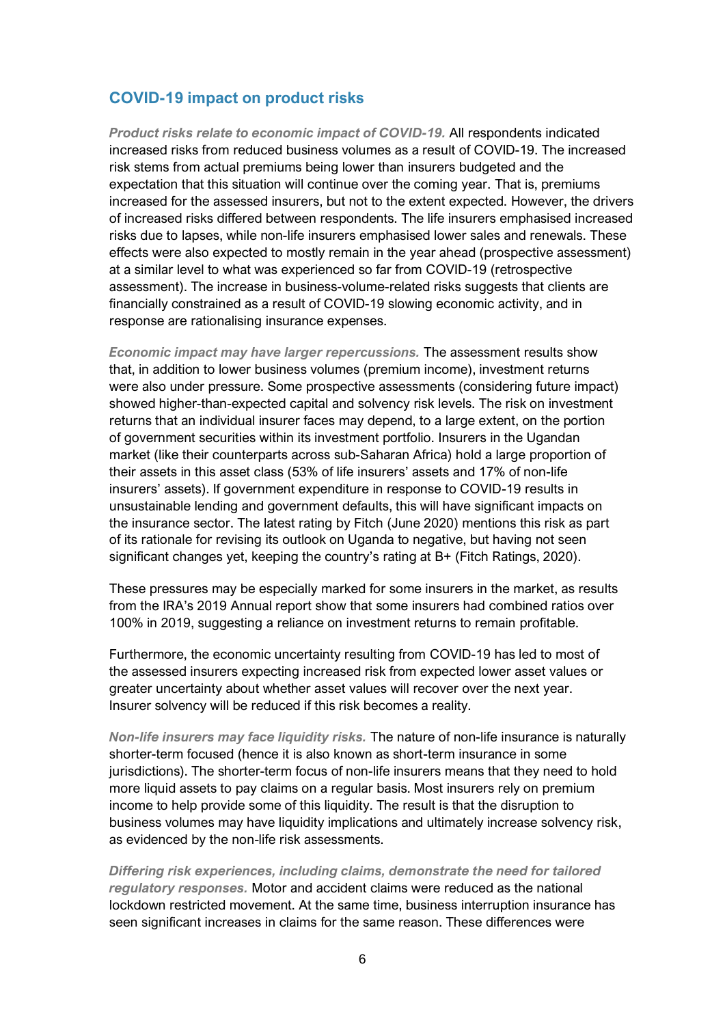### **COVID-19 impact on product risks**

*Product risks relate to economic impact of COVID-19.* All respondents indicated increased risks from reduced business volumes as a result of COVID-19. The increased risk stems from actual premiums being lower than insurers budgeted and the expectation that this situation will continue over the coming year. That is, premiums increased for the assessed insurers, but not to the extent expected. However, the drivers of increased risks differed between respondents. The life insurers emphasised increased risks due to lapses, while non-life insurers emphasised lower sales and renewals. These effects were also expected to mostly remain in the year ahead (prospective assessment) at a similar level to what was experienced so far from COVID-19 (retrospective assessment). The increase in business-volume-related risks suggests that clients are financially constrained as a result of COVID-19 slowing economic activity, and in response are rationalising insurance expenses.

*Economic impact may have larger repercussions.* The assessment results show that, in addition to lower business volumes (premium income), investment returns were also under pressure. Some prospective assessments (considering future impact) showed higher-than-expected capital and solvency risk levels. The risk on investment returns that an individual insurer faces may depend, to a large extent, on the portion of government securities within its investment portfolio. Insurers in the Ugandan market [\(like their counterparts across sub-Saharan Africa\) h](https://cenfri.org/articles/the-impact-of-covid-19-on-the-sustainability-of-insurers/)old a large proportion of their assets in this asset class (53% of life insurers' assets and 17% of non-life insurers' assets). If government expenditure in response to COVID-19 results in unsustainable lending and government defaults, this will have significant impacts on the insurance sector. The latest rating by Fitch (June 2020) mentions this risk as part of its rationale for revising its outlook on Uganda to negative, but having not seen significant changes yet, keeping the country's rating at B+ (Fitch Ratings, 2020).

These pressures may be especially marked for some insurers in the market, as results from the IRA's 2019 Annual report show that some insurers had combined ratios over 100% in 2019, suggesting a reliance on investment returns to remain profitable.

Furthermore, the economic uncertainty resulting from COVID-19 has led to most of the assessed insurers expecting increased risk from expected lower asset values or greater uncertainty about whether asset values will recover over the next year. Insurer solvency will be reduced if this risk becomes a reality.

*Non-life insurers may face liquidity risks.* The nature of non-life insurance is naturally shorter-term focused (hence it is also known as short-term insurance in some jurisdictions). The shorter-term focus of non-life insurers means that they need to hold more liquid assets to pay claims on a regular basis. Most insurers rely on premium income to help provide some of this liquidity. The result is that the disruption to business volumes may have liquidity implications and ultimately increase solvency risk, as evidenced by the non-life risk assessments.

*Differing risk experiences, including claims, demonstrate the need for tailored regulatory responses.* Motor and accident claims were reduced as the national lockdown restricted movement. At the same time, business interruption insurance has seen significant increases in claims for the same reason. These differences were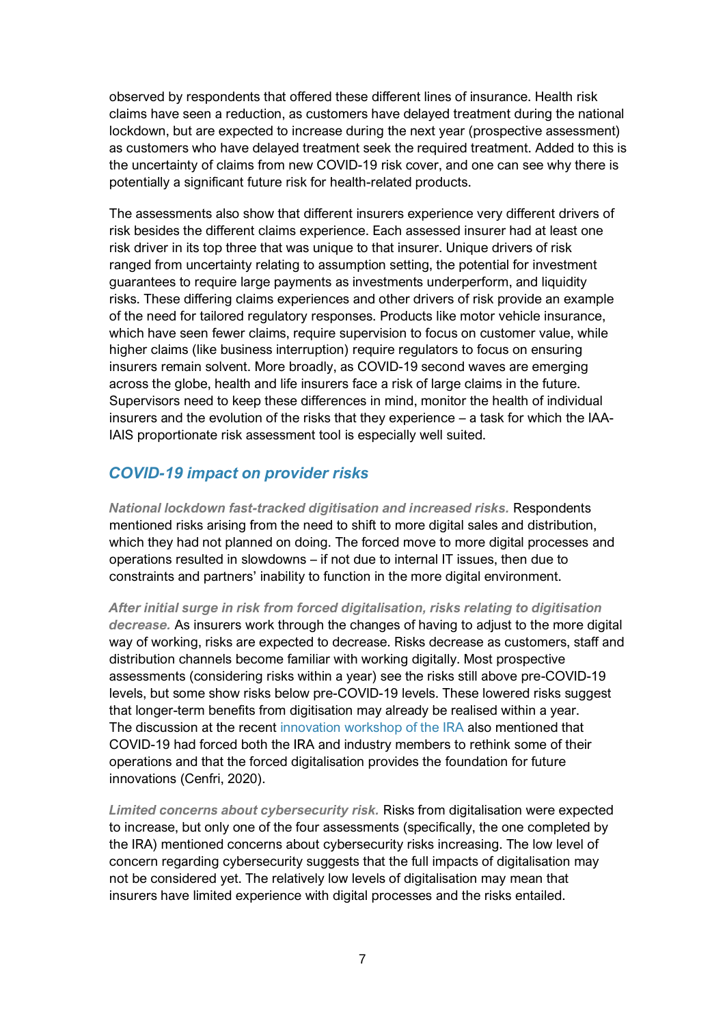observed by respondents that offered these different lines of insurance. Health risk claims have seen a reduction, as customers have delayed treatment during the national lockdown, but are expected to increase during the next year (prospective assessment) as customers who have delayed treatment seek the required treatment. Added to this is the uncertainty of claims from new COVID-19 risk cover, and one can see why there is potentially a significant future risk for health-related products.

The assessments also show that different insurers experience very different drivers of risk besides the different claims experience. Each assessed insurer had at least one risk driver in its top three that was unique to that insurer. Unique drivers of risk ranged from uncertainty relating to assumption setting, the potential for investment guarantees to require large payments as investments underperform, and liquidity risks. These differing claims experiences and other drivers of risk provide an example of the need for tailored regulatory responses. Products like motor vehicle insurance, which have seen fewer claims, require supervision to focus on customer value, while higher claims (like business interruption) require regulators to focus on ensuring insurers remain solvent. More broadly, as COVID-19 second waves are emerging across the globe, health and life insurers face a risk of large claims in the future. Supervisors need to keep these differences in mind, monitor the health of individual insurers and the evolution of the risks that they experience – a task for which the IAA-IAIS proportionate risk assessment tool is especially well suited.

## *COVID-19 impact on provider risks*

*National lockdown fast-tracked digitisation and increased risks.* Respondents mentioned risks arising from the need to shift to more digital sales and distribution, which they had not planned on doing. The forced move to more digital processes and operations resulted in slowdowns – if not due to internal IT issues, then due to constraints and partners' inability to function in the more digital environment.

*After initial surge in risk from forced digitalisation, risks relating to digitisation decrease.* As insurers work through the changes of having to adjust to the more digital way of working, risks are expected to decrease. Risks decrease as customers, staff and distribution channels become familiar with working digitally. Most prospective assessments (considering risks within a year) see the risks still above pre-COVID-19 levels, but some show risks below pre-COVID-19 levels. These lowered risks suggest that longer-term benefits from digitisation may already be realised within a year. The discussion at the recent [innovation workshop of the IRA](https://cenfri.org/articles/opportunities-and-challenges-to-innovation-in-the-ugandan-insurance-market/) also mentioned that COVID-19 had forced both the IRA and industry members to rethink some of their operations and that the forced digitalisation provides the foundation for future innovations (Cenfri, 2020).

*Limited concerns about cybersecurity risk.* Risks from digitalisation were expected to increase, but only one of the four assessments (specifically, the one completed by the IRA) mentioned concerns about cybersecurity risks increasing. The low level of concern regarding cybersecurity suggests that the full impacts of digitalisation may not be considered yet. The relatively low levels of digitalisation may mean that insurers have limited experience with digital processes and the risks entailed.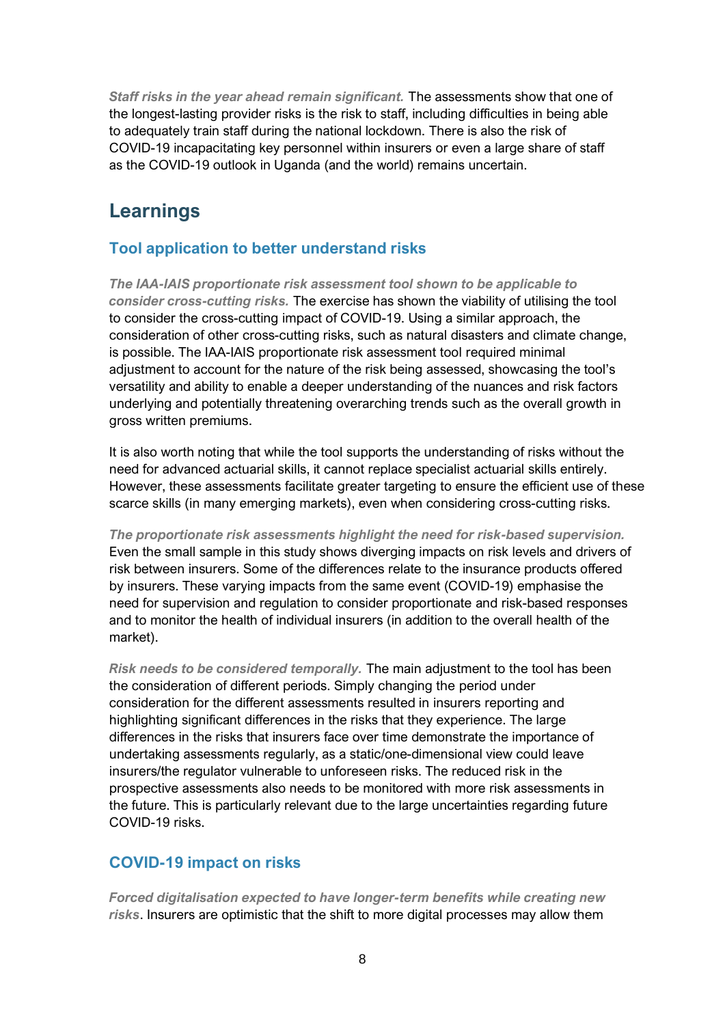*Staff risks in the year ahead remain significant.* The assessments show that one of the longest-lasting provider risks is the risk to staff, including difficulties in being able to adequately train staff during the national lockdown. There is also the risk of COVID-19 incapacitating key personnel within insurers or even a large share of staff as the COVID-19 outlook in Uganda (and the world) remains uncertain.

# **Learnings**

### **Tool application to better understand risks**

*The IAA-IAIS proportionate risk assessment tool shown to be applicable to consider cross-cutting risks.* The exercise has shown the viability of utilising the tool to consider the cross-cutting impact of COVID-19. Using a similar approach, the consideration of other cross-cutting risks, such as natural disasters and climate change, is possible. The IAA-IAIS proportionate risk assessment tool required minimal adjustment to account for the nature of the risk being assessed, showcasing the tool's versatility and ability to enable a deeper understanding of the nuances and risk factors underlying and potentially threatening overarching trends such as the overall growth in gross written premiums.

It is also worth noting that while the tool supports the understanding of risks without the need for advanced actuarial skills, it cannot replace specialist actuarial skills entirely. However, these assessments facilitate greater targeting to ensure the efficient use of these scarce skills (in many emerging markets), even when considering cross-cutting risks.

*The proportionate risk assessments highlight the need for risk-based supervision.* Even the small sample in this study shows diverging impacts on risk levels and drivers of risk between insurers. Some of the differences relate to the insurance products offered by insurers. These varying impacts from the same event (COVID-19) emphasise the need for supervision and regulation to consider proportionate and risk-based responses and to monitor the health of individual insurers (in addition to the overall health of the market).

*Risk needs to be considered temporally.* The main adjustment to the tool has been the consideration of different periods. Simply changing the period under consideration for the different assessments resulted in insurers reporting and highlighting significant differences in the risks that they experience. The large differences in the risks that insurers face over time demonstrate the importance of undertaking assessments regularly, as a static/one-dimensional view could leave insurers/the regulator vulnerable to unforeseen risks. The reduced risk in the prospective assessments also needs to be monitored with more risk assessments in the future. This is particularly relevant due to the large uncertainties regarding future COVID-19 risks.

### **COVID-19 impact on risks**

*Forced digitalisation expected to have longer-term benefits while creating new risks*. Insurers are optimistic that the shift to more digital processes may allow them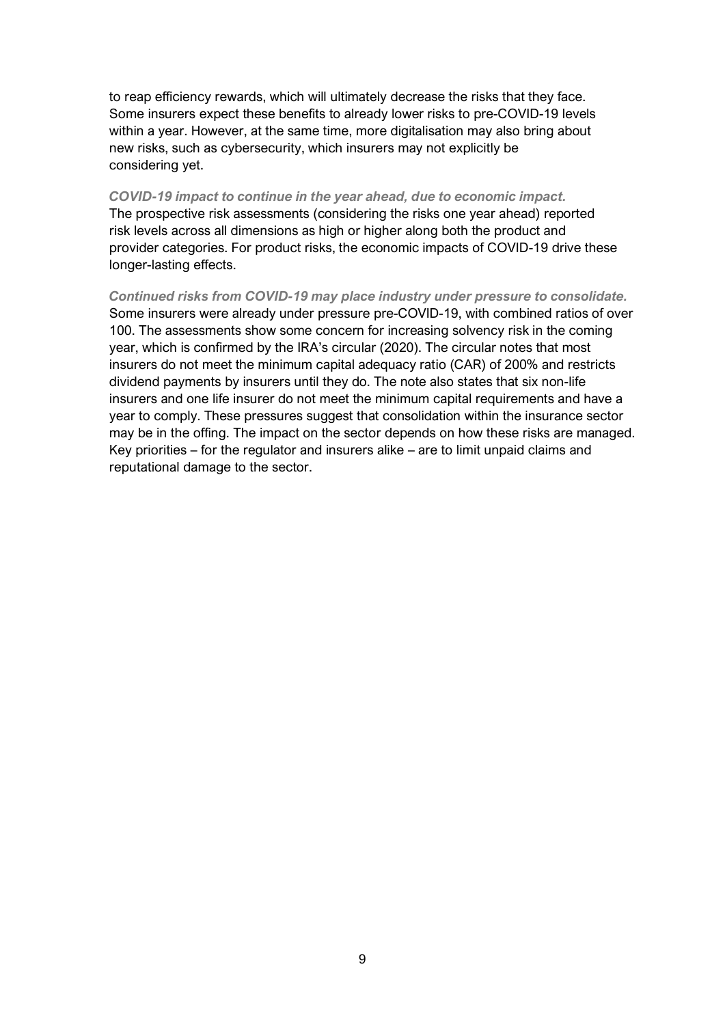to reap efficiency rewards, which will ultimately decrease the risks that they face. Some insurers expect these benefits to already lower risks to pre-COVID-19 levels within a year. However, at the same time, more digitalisation may also bring about new risks, such as cybersecurity, which insurers may not explicitly be considering yet.

#### *COVID-19 impact to continue in the year ahead, due to economic impact.*

The prospective risk assessments (considering the risks one year ahead) reported risk levels across all dimensions as high or higher along both the product and provider categories. For product risks, the economic impacts of COVID-19 drive these longer-lasting effects.

*Continued risks from COVID-19 may place industry under pressure to consolidate.* Some insurers were already under pressure pre-COVID-19, with combined ratios of over 100. The assessments show some concern for increasing solvency risk in the coming year, which is confirmed by the IRA's circular (2020). The circular notes that most insurers do not meet the minimum capital adequacy ratio (CAR) of 200% and restricts dividend payments by insurers until they do. The note also states that six non-life insurers and one life insurer do not meet the minimum capital requirements and have a year to comply. These pressures suggest that consolidation within the insurance sector may be in the offing. The impact on the sector depends on how these risks are managed. Key priorities – for the regulator and insurers alike – are to limit unpaid claims and reputational damage to the sector.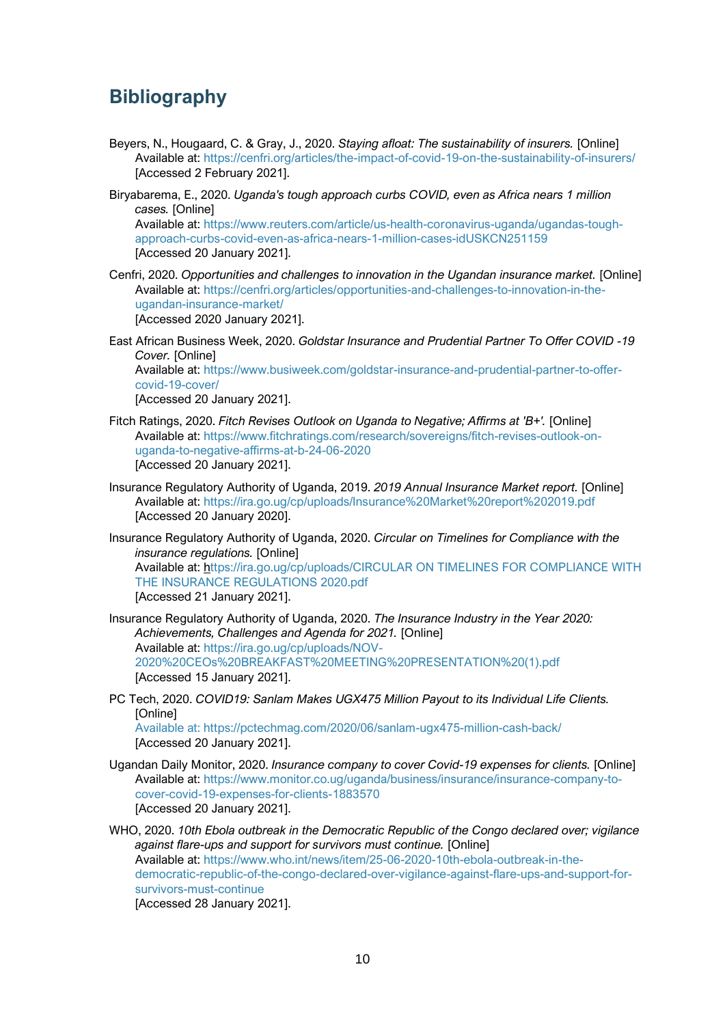# **Bibliography**

- Beyers, N., Hougaard, C. & Gray, J., 2020. *Staying afloat: The sustainability of insurers.* [Online] Available at: https://cenfri.org/articles/the-impact-of-covid-19-on-the-sustainability-of-insurers/ [Accessed 2 February 2021].
- Biryabarema, E., 2020. *Uganda's tough approach curbs COVID, even as Africa nears 1 million cases.* [Online] Available at: https://www.reuters.com/article/us-health-coronavirus-uganda/ugandas-toughapproach-curbs-covid-even-as-africa-nears-1-million-cases-idUSKCN251159 [Accessed 20 January 2021].
- Cenfri, 2020. *Opportunities and challenges to innovation in the Ugandan insurance market.* [Online] Available at: https://cenfri.org/articles/opportunities-and-challenges-to-innovation-in-theugandan-insurance-market/ [Accessed 2020 January 2021].

East African Business Week, 2020. *Goldstar Insurance and Prudential Partner To Offer COVID -19 Cover.* [Online] Available at: https://www.busiweek.com/goldstar-insurance-and-prudential-partner-to-offercovid-19-cover/ [Accessed 20 January 2021].

- Fitch Ratings, 2020. *Fitch Revises Outlook on Uganda to Negative; Affirms at 'B+'.* [Online] Available at: https://www.fitchratings.com/research/sovereigns/fitch-revises-outlook-onuganda-to-negative-affirms-at-b-24-06-2020 [Accessed 20 January 2021].
- Insurance Regulatory Authority of Uganda, 2019. *2019 Annual Insurance Market report.* [Online] Available at: https://ira.go.ug/cp/uploads/Insurance%20Market%20report%202019.pdf [Accessed 20 January 2020].
- Insurance Regulatory Authority of Uganda, 2020. *Circular on Timelines for Compliance with the insurance regulations.* [Online] Available at: https://ira.go.ug/cp/uploads/CIRCULAR ON TIMELINES FOR COMPLIANCE WITH THE INSURANCE REGULATIONS 2020.pdf [Accessed 21 January 2021].
- Insurance Regulatory Authority of Uganda, 2020. *The Insurance Industry in the Year 2020: Achievements, Challenges and Agenda for 2021.* [Online] Available at: https://ira.go.ug/cp/uploads/NOV-2020%20CEOs%20BREAKFAST%20MEETING%20PRESENTATION%20(1).pdf [Accessed 15 January 2021].
- PC Tech, 2020. *COVID19: Sanlam Makes UGX475 Million Payout to its Individual Life Clients.*  [Online] Available at: https://pctechmag.com/2020/06/sanlam-ugx475-million-cash-back/ [Accessed 20 January 2021].
- Ugandan Daily Monitor, 2020. *Insurance company to cover Covid-19 expenses for clients.* [Online] Available at: https://www.monitor.co.ug/uganda/business/insurance/insurance-company-tocover-covid-19-expenses-for-clients-1883570 [Accessed 20 January 2021].

WHO, 2020. *10th Ebola outbreak in the Democratic Republic of the Congo declared over; vigilance against flare-ups and support for survivors must continue.* [Online] Available at: https://www.who.int/news/item/25-06-2020-10th-ebola-outbreak-in-thedemocratic-republic-of-the-congo-declared-over-vigilance-against-flare-ups-and-support-forsurvivors-must-continue

[Accessed 28 January 2021].